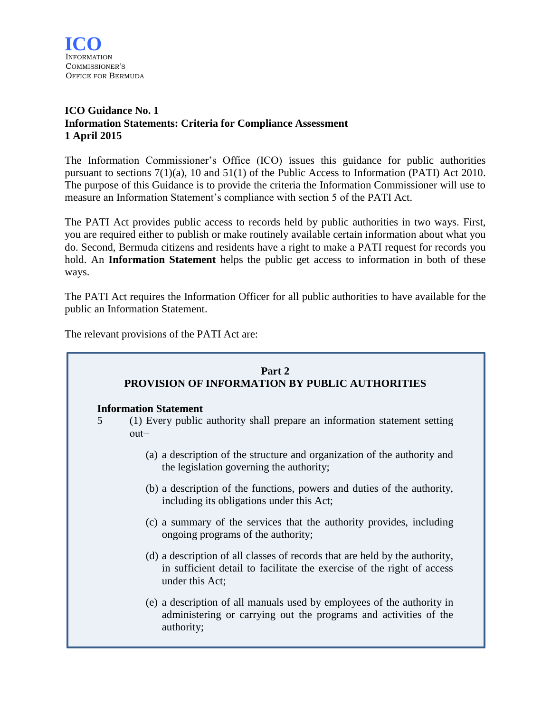

# **ICO Guidance No. 1 Information Statements: Criteria for Compliance Assessment 1 April 2015**

The Information Commissioner's Office (ICO) issues this guidance for public authorities pursuant to sections 7(1)(a), 10 and 51(1) of the Public Access to Information (PATI) Act 2010. The purpose of this Guidance is to provide the criteria the Information Commissioner will use to measure an Information Statement's compliance with section 5 of the PATI Act.

The PATI Act provides public access to records held by public authorities in two ways. First, you are required either to publish or make routinely available certain information about what you do. Second, Bermuda citizens and residents have a right to make a PATI request for records you hold. An **Information Statement** helps the public get access to information in both of these ways.

The PATI Act requires the Information Officer for all public authorities to have available for the public an Information Statement.

The relevant provisions of the PATI Act are:

|   | Part 2<br>PROVISION OF INFORMATION BY PUBLIC AUTHORITIES                                                                                                                 |  |  |
|---|--------------------------------------------------------------------------------------------------------------------------------------------------------------------------|--|--|
| 5 | <b>Information Statement</b><br>(1) Every public authority shall prepare an information statement setting<br>$out-$                                                      |  |  |
|   | (a) a description of the structure and organization of the authority and<br>the legislation governing the authority;                                                     |  |  |
|   | (b) a description of the functions, powers and duties of the authority,<br>including its obligations under this Act;                                                     |  |  |
|   | (c) a summary of the services that the authority provides, including<br>ongoing programs of the authority;                                                               |  |  |
|   | (d) a description of all classes of records that are held by the authority,<br>in sufficient detail to facilitate the exercise of the right of access<br>under this Act; |  |  |
|   | (e) a description of all manuals used by employees of the authority in<br>administering or carrying out the programs and activities of the<br>authority;                 |  |  |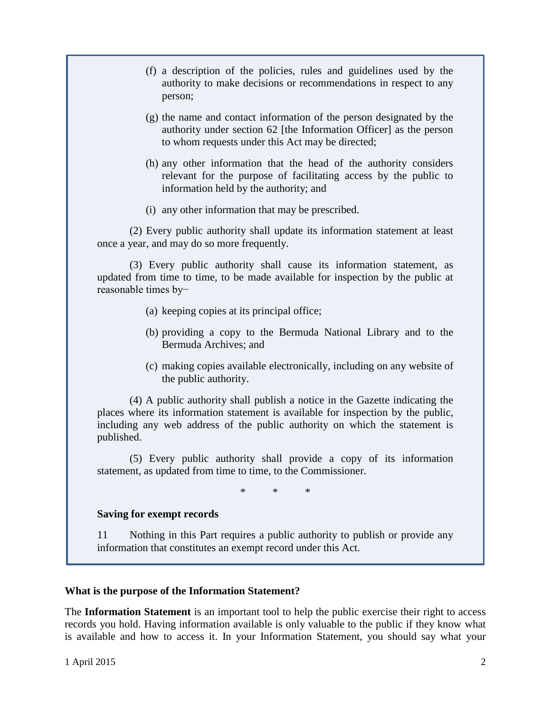|                                  | (f) a description of the policies, rules and guidelines used by the<br>authority to make decisions or recommendations in respect to any<br>person;                                                                                              |
|----------------------------------|-------------------------------------------------------------------------------------------------------------------------------------------------------------------------------------------------------------------------------------------------|
|                                  | (g) the name and contact information of the person designated by the<br>authority under section 62 [the Information Officer] as the person<br>to whom requests under this Act may be directed;                                                  |
|                                  | (h) any other information that the head of the authority considers<br>relevant for the purpose of facilitating access by the public to<br>information held by the authority; and                                                                |
|                                  | (i) any other information that may be prescribed.                                                                                                                                                                                               |
|                                  | (2) Every public authority shall update its information statement at least<br>once a year, and may do so more frequently.                                                                                                                       |
| reasonable times by-             | (3) Every public authority shall cause its information statement, as<br>updated from time to time, to be made available for inspection by the public at                                                                                         |
|                                  | (a) keeping copies at its principal office;                                                                                                                                                                                                     |
|                                  | (b) providing a copy to the Bermuda National Library and to the<br>Bermuda Archives; and                                                                                                                                                        |
|                                  | (c) making copies available electronically, including on any website of<br>the public authority.                                                                                                                                                |
| published.                       | (4) A public authority shall publish a notice in the Gazette indicating the<br>places where its information statement is available for inspection by the public,<br>including any web address of the public authority on which the statement is |
|                                  | (5) Every public authority shall provide a copy of its information<br>statement, as updated from time to time, to the Commissioner.                                                                                                             |
|                                  | $\ast$<br>$\ast$<br>*                                                                                                                                                                                                                           |
| <b>Saving for exempt records</b> |                                                                                                                                                                                                                                                 |
| 11                               | Nothing in this Part requires a public authority to publish or provide any<br>information that constitutes an exempt record under this Act.                                                                                                     |

# **What is the purpose of the Information Statement?**

The **Information Statement** is an important tool to help the public exercise their right to access records you hold. Having information available is only valuable to the public if they know what is available and how to access it. In your Information Statement, you should say what your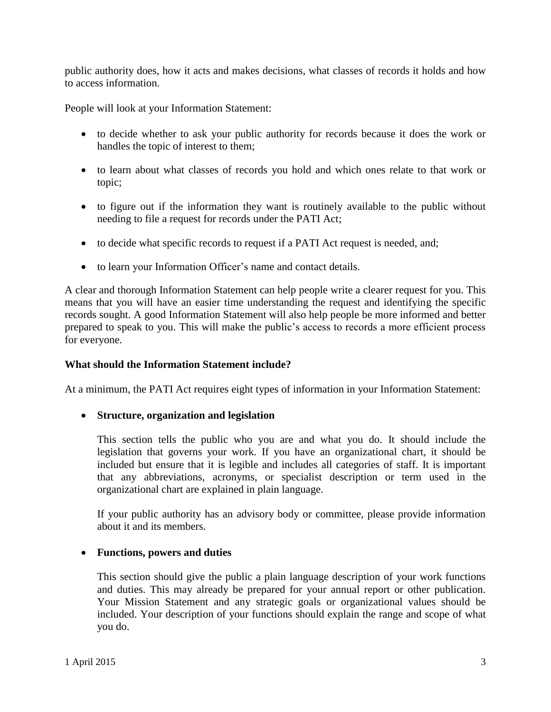public authority does, how it acts and makes decisions, what classes of records it holds and how to access information.

People will look at your Information Statement:

- to decide whether to ask your public authority for records because it does the work or handles the topic of interest to them;
- to learn about what classes of records you hold and which ones relate to that work or topic;
- to figure out if the information they want is routinely available to the public without needing to file a request for records under the PATI Act;
- to decide what specific records to request if a PATI Act request is needed, and;
- to learn your Information Officer's name and contact details.

A clear and thorough Information Statement can help people write a clearer request for you. This means that you will have an easier time understanding the request and identifying the specific records sought. A good Information Statement will also help people be more informed and better prepared to speak to you. This will make the public's access to records a more efficient process for everyone.

#### **What should the Information Statement include?**

At a minimum, the PATI Act requires eight types of information in your Information Statement:

#### **Structure, organization and legislation**

This section tells the public who you are and what you do. It should include the legislation that governs your work. If you have an organizational chart, it should be included but ensure that it is legible and includes all categories of staff. It is important that any abbreviations, acronyms, or specialist description or term used in the organizational chart are explained in plain language.

If your public authority has an advisory body or committee, please provide information about it and its members.

#### **Functions, powers and duties**

This section should give the public a plain language description of your work functions and duties. This may already be prepared for your annual report or other publication. Your Mission Statement and any strategic goals or organizational values should be included. Your description of your functions should explain the range and scope of what you do.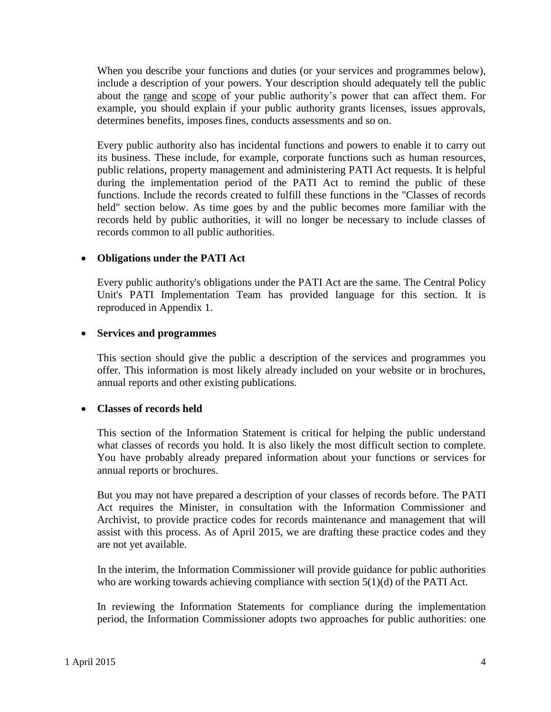When you describe your functions and duties (or your services and programmes below), include a description of your powers. Your description should adequately tell the public about the range and scope of your public authority's power that can affect them. For example, you should explain if your public authority grants licenses, issues approvals, determines benefits, imposes fines, conducts assessments and so on.

Every public authority also has incidental functions and powers to enable it to carry out its business. These include, for example, corporate functions such as human resources, public relations, property management and administering PATI Act requests. It is helpful during the implementation period of the PATI Act to remind the public of these functions. Include the records created to fulfill these functions in the "Classes of records held" section below. As time goes by and the public becomes more familiar with the records held by public authorities, it will no longer be necessary to include classes of records common to all public authorities.

# **Obligations under the PATI Act**

Every public authority's obligations under the PATI Act are the same. The Central Policy Unit's PATI Implementation Team has provided language for this section. It is reproduced in Appendix 1.

#### **Services and programmes**

This section should give the public a description of the services and programmes you offer. This information is most likely already included on your website or in brochures, annual reports and other existing publications.

#### **Classes of records held**

This section of the Information Statement is critical for helping the public understand what classes of records you hold. It is also likely the most difficult section to complete. You have probably already prepared information about your functions or services for annual reports or brochures.

But you may not have prepared a description of your classes of records before. The PATI Act requires the Minister, in consultation with the Information Commissioner and Archivist, to provide practice codes for records maintenance and management that will assist with this process. As of April 2015, we are drafting these practice codes and they are not yet available.

In the interim, the Information Commissioner will provide guidance for public authorities who are working towards achieving compliance with section 5(1)(d) of the PATI Act.

In reviewing the Information Statements for compliance during the implementation period, the Information Commissioner adopts two approaches for public authorities: one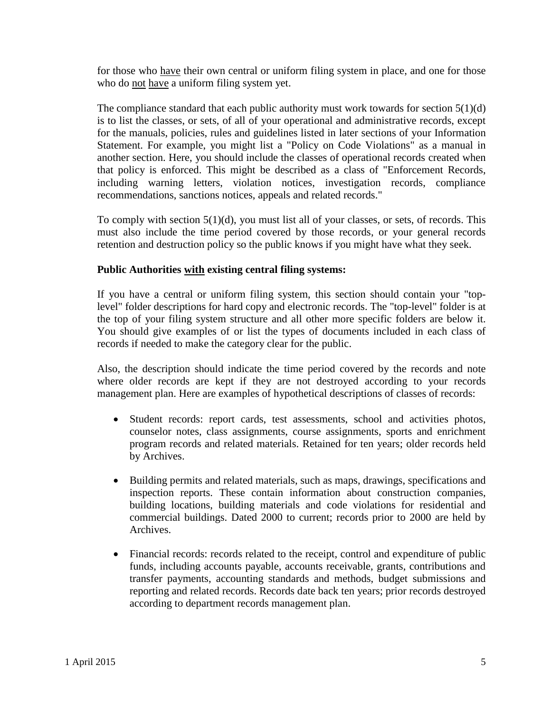for those who have their own central or uniform filing system in place, and one for those who do not have a uniform filing system yet.

The compliance standard that each public authority must work towards for section  $5(1)(d)$ is to list the classes, or sets, of all of your operational and administrative records, except for the manuals, policies, rules and guidelines listed in later sections of your Information Statement. For example, you might list a "Policy on Code Violations" as a manual in another section. Here, you should include the classes of operational records created when that policy is enforced. This might be described as a class of "Enforcement Records, including warning letters, violation notices, investigation records, compliance recommendations, sanctions notices, appeals and related records."

To comply with section 5(1)(d), you must list all of your classes, or sets, of records. This must also include the time period covered by those records, or your general records retention and destruction policy so the public knows if you might have what they seek.

# **Public Authorities with existing central filing systems:**

If you have a central or uniform filing system, this section should contain your "toplevel" folder descriptions for hard copy and electronic records. The "top-level" folder is at the top of your filing system structure and all other more specific folders are below it. You should give examples of or list the types of documents included in each class of records if needed to make the category clear for the public.

Also, the description should indicate the time period covered by the records and note where older records are kept if they are not destroyed according to your records management plan. Here are examples of hypothetical descriptions of classes of records:

- Student records: report cards, test assessments, school and activities photos, counselor notes, class assignments, course assignments, sports and enrichment program records and related materials. Retained for ten years; older records held by Archives.
- Building permits and related materials, such as maps, drawings, specifications and inspection reports. These contain information about construction companies, building locations, building materials and code violations for residential and commercial buildings. Dated 2000 to current; records prior to 2000 are held by Archives.
- Financial records: records related to the receipt, control and expenditure of public funds, including accounts payable, accounts receivable, grants, contributions and transfer payments, accounting standards and methods, budget submissions and reporting and related records. Records date back ten years; prior records destroyed according to department records management plan.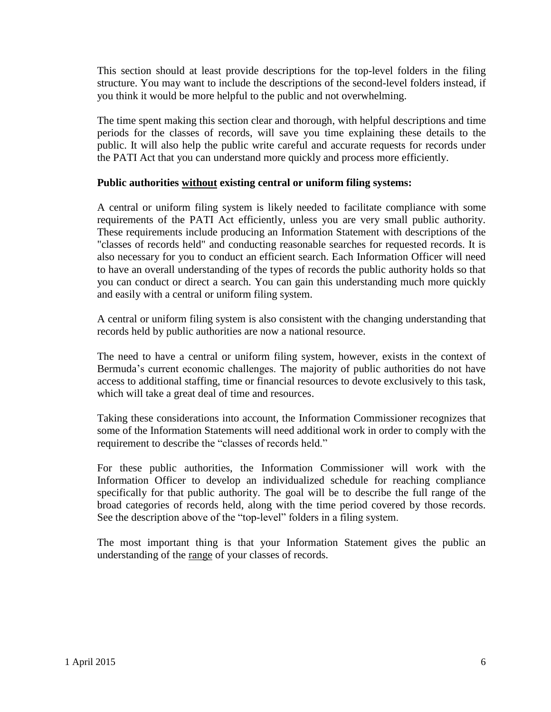This section should at least provide descriptions for the top-level folders in the filing structure. You may want to include the descriptions of the second-level folders instead, if you think it would be more helpful to the public and not overwhelming.

The time spent making this section clear and thorough, with helpful descriptions and time periods for the classes of records, will save you time explaining these details to the public. It will also help the public write careful and accurate requests for records under the PATI Act that you can understand more quickly and process more efficiently.

# **Public authorities without existing central or uniform filing systems:**

A central or uniform filing system is likely needed to facilitate compliance with some requirements of the PATI Act efficiently, unless you are very small public authority. These requirements include producing an Information Statement with descriptions of the "classes of records held" and conducting reasonable searches for requested records. It is also necessary for you to conduct an efficient search. Each Information Officer will need to have an overall understanding of the types of records the public authority holds so that you can conduct or direct a search. You can gain this understanding much more quickly and easily with a central or uniform filing system.

A central or uniform filing system is also consistent with the changing understanding that records held by public authorities are now a national resource.

The need to have a central or uniform filing system, however, exists in the context of Bermuda's current economic challenges. The majority of public authorities do not have access to additional staffing, time or financial resources to devote exclusively to this task, which will take a great deal of time and resources.

Taking these considerations into account, the Information Commissioner recognizes that some of the Information Statements will need additional work in order to comply with the requirement to describe the "classes of records held."

For these public authorities, the Information Commissioner will work with the Information Officer to develop an individualized schedule for reaching compliance specifically for that public authority. The goal will be to describe the full range of the broad categories of records held, along with the time period covered by those records. See the description above of the "top-level" folders in a filing system.

The most important thing is that your Information Statement gives the public an understanding of the range of your classes of records.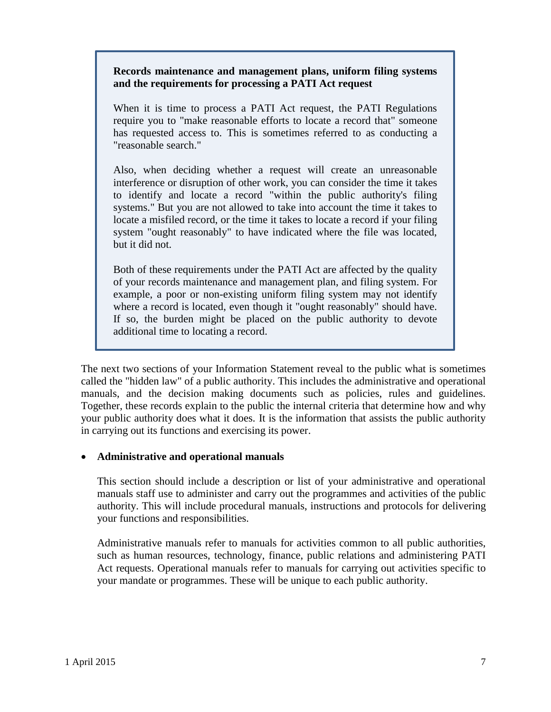### **Records maintenance and management plans, uniform filing systems and the requirements for processing a PATI Act request**

When it is time to process a PATI Act request, the PATI Regulations require you to "make reasonable efforts to locate a record that" someone has requested access to. This is sometimes referred to as conducting a "reasonable search."

Also, when deciding whether a request will create an unreasonable interference or disruption of other work, you can consider the time it takes to identify and locate a record "within the public authority's filing systems." But you are not allowed to take into account the time it takes to locate a misfiled record, or the time it takes to locate a record if your filing system "ought reasonably" to have indicated where the file was located, but it did not.

Both of these requirements under the PATI Act are affected by the quality of your records maintenance and management plan, and filing system. For example, a poor or non-existing uniform filing system may not identify where a record is located, even though it "ought reasonably" should have. If so, the burden might be placed on the public authority to devote additional time to locating a record.

The next two sections of your Information Statement reveal to the public what is sometimes called the "hidden law" of a public authority. This includes the administrative and operational manuals, and the decision making documents such as policies, rules and guidelines. Together, these records explain to the public the internal criteria that determine how and why your public authority does what it does. It is the information that assists the public authority in carrying out its functions and exercising its power.

# **Administrative and operational manuals**

This section should include a description or list of your administrative and operational manuals staff use to administer and carry out the programmes and activities of the public authority. This will include procedural manuals, instructions and protocols for delivering your functions and responsibilities.

Administrative manuals refer to manuals for activities common to all public authorities, such as human resources, technology, finance, public relations and administering PATI Act requests. Operational manuals refer to manuals for carrying out activities specific to your mandate or programmes. These will be unique to each public authority.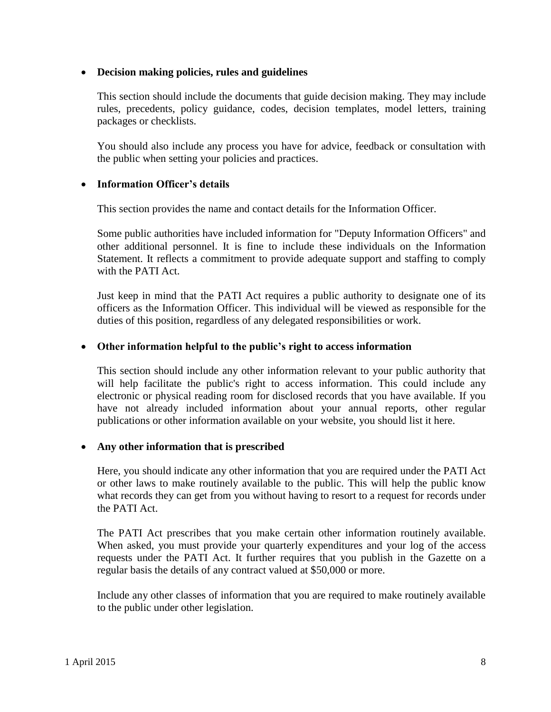### **Decision making policies, rules and guidelines**

This section should include the documents that guide decision making. They may include rules, precedents, policy guidance, codes, decision templates, model letters, training packages or checklists.

You should also include any process you have for advice, feedback or consultation with the public when setting your policies and practices.

# **Information Officer's details**

This section provides the name and contact details for the Information Officer.

Some public authorities have included information for "Deputy Information Officers" and other additional personnel. It is fine to include these individuals on the Information Statement. It reflects a commitment to provide adequate support and staffing to comply with the PATI Act.

Just keep in mind that the PATI Act requires a public authority to designate one of its officers as the Information Officer. This individual will be viewed as responsible for the duties of this position, regardless of any delegated responsibilities or work.

# **Other information helpful to the public's right to access information**

This section should include any other information relevant to your public authority that will help facilitate the public's right to access information. This could include any electronic or physical reading room for disclosed records that you have available. If you have not already included information about your annual reports, other regular publications or other information available on your website, you should list it here.

#### **Any other information that is prescribed**

Here, you should indicate any other information that you are required under the PATI Act or other laws to make routinely available to the public. This will help the public know what records they can get from you without having to resort to a request for records under the PATI Act.

The PATI Act prescribes that you make certain other information routinely available. When asked, you must provide your quarterly expenditures and your log of the access requests under the PATI Act. It further requires that you publish in the Gazette on a regular basis the details of any contract valued at \$50,000 or more.

Include any other classes of information that you are required to make routinely available to the public under other legislation.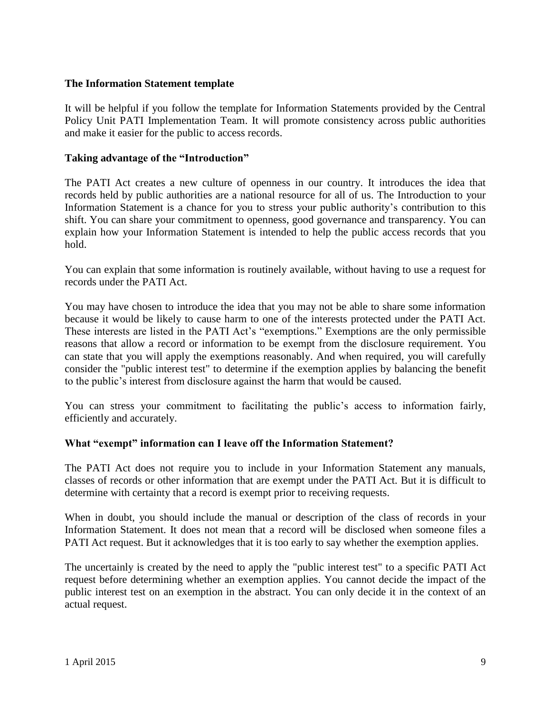# **The Information Statement template**

It will be helpful if you follow the template for Information Statements provided by the Central Policy Unit PATI Implementation Team. It will promote consistency across public authorities and make it easier for the public to access records.

# **Taking advantage of the "Introduction"**

The PATI Act creates a new culture of openness in our country. It introduces the idea that records held by public authorities are a national resource for all of us. The Introduction to your Information Statement is a chance for you to stress your public authority's contribution to this shift. You can share your commitment to openness, good governance and transparency. You can explain how your Information Statement is intended to help the public access records that you hold.

You can explain that some information is routinely available, without having to use a request for records under the PATI Act.

You may have chosen to introduce the idea that you may not be able to share some information because it would be likely to cause harm to one of the interests protected under the PATI Act. These interests are listed in the PATI Act's "exemptions." Exemptions are the only permissible reasons that allow a record or information to be exempt from the disclosure requirement. You can state that you will apply the exemptions reasonably. And when required, you will carefully consider the "public interest test" to determine if the exemption applies by balancing the benefit to the public's interest from disclosure against the harm that would be caused.

You can stress your commitment to facilitating the public's access to information fairly, efficiently and accurately.

#### **What "exempt" information can I leave off the Information Statement?**

The PATI Act does not require you to include in your Information Statement any manuals, classes of records or other information that are exempt under the PATI Act. But it is difficult to determine with certainty that a record is exempt prior to receiving requests.

When in doubt, you should include the manual or description of the class of records in your Information Statement. It does not mean that a record will be disclosed when someone files a PATI Act request. But it acknowledges that it is too early to say whether the exemption applies.

The uncertainly is created by the need to apply the "public interest test" to a specific PATI Act request before determining whether an exemption applies. You cannot decide the impact of the public interest test on an exemption in the abstract. You can only decide it in the context of an actual request.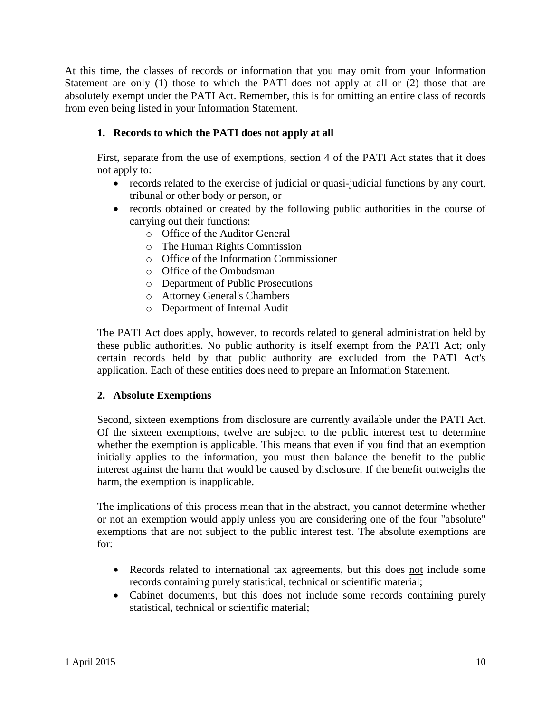At this time, the classes of records or information that you may omit from your Information Statement are only (1) those to which the PATI does not apply at all or (2) those that are absolutely exempt under the PATI Act. Remember, this is for omitting an entire class of records from even being listed in your Information Statement.

# **1. Records to which the PATI does not apply at all**

First, separate from the use of exemptions, section 4 of the PATI Act states that it does not apply to:

- records related to the exercise of judicial or quasi-judicial functions by any court, tribunal or other body or person, or
- records obtained or created by the following public authorities in the course of carrying out their functions:
	- o Office of the Auditor General
	- o The Human Rights Commission
	- o Office of the Information Commissioner
	- o Office of the Ombudsman
	- o Department of Public Prosecutions
	- o Attorney General's Chambers
	- o Department of Internal Audit

The PATI Act does apply, however, to records related to general administration held by these public authorities. No public authority is itself exempt from the PATI Act; only certain records held by that public authority are excluded from the PATI Act's application. Each of these entities does need to prepare an Information Statement.

#### **2. Absolute Exemptions**

Second, sixteen exemptions from disclosure are currently available under the PATI Act. Of the sixteen exemptions, twelve are subject to the public interest test to determine whether the exemption is applicable. This means that even if you find that an exemption initially applies to the information, you must then balance the benefit to the public interest against the harm that would be caused by disclosure. If the benefit outweighs the harm, the exemption is inapplicable.

The implications of this process mean that in the abstract, you cannot determine whether or not an exemption would apply unless you are considering one of the four "absolute" exemptions that are not subject to the public interest test. The absolute exemptions are for:

- Records related to international tax agreements, but this does not include some records containing purely statistical, technical or scientific material;
- Cabinet documents, but this does not include some records containing purely statistical, technical or scientific material;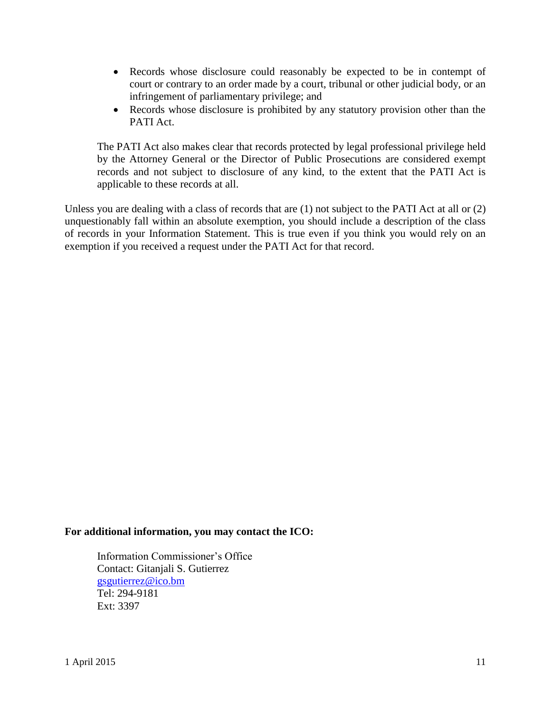- Records whose disclosure could reasonably be expected to be in contempt of court or contrary to an order made by a court, tribunal or other judicial body, or an infringement of parliamentary privilege; and
- Records whose disclosure is prohibited by any statutory provision other than the PATI Act.

The PATI Act also makes clear that records protected by legal professional privilege held by the Attorney General or the Director of Public Prosecutions are considered exempt records and not subject to disclosure of any kind, to the extent that the PATI Act is applicable to these records at all.

Unless you are dealing with a class of records that are (1) not subject to the PATI Act at all or (2) unquestionably fall within an absolute exemption, you should include a description of the class of records in your Information Statement. This is true even if you think you would rely on an exemption if you received a request under the PATI Act for that record.

#### **For additional information, you may contact the ICO:**

Information Commissioner's Office Contact: Gitanjali S. Gutierrez [gsgutierrez@ico.bm](mailto:gsgutierrez@ico.bm) Tel: 294-9181 Ext: 3397